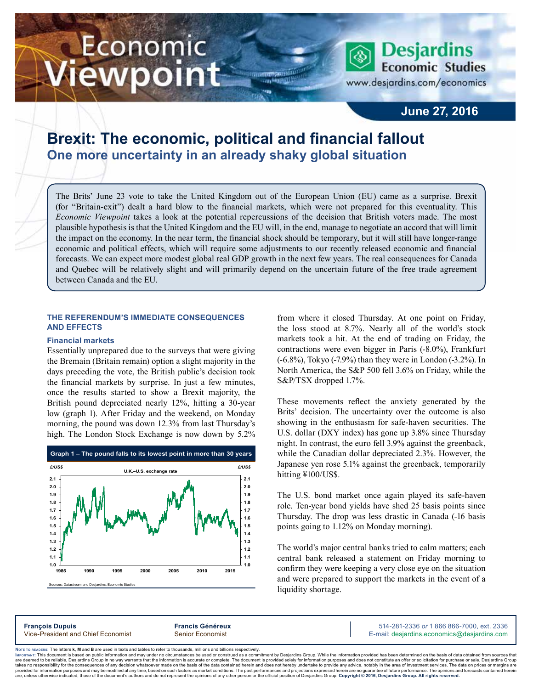# Economic ewpoint

**Economic Studies** www.desjardins.com/economics

**Desjardins** 

### **June 27, 2016**

## **Brexit: The economic, political and financial fallout One more uncertainty in an already shaky global situation**

The Brits' June 23 vote to take the United Kingdom out of the European Union (EU) came as a surprise. Brexit (for "Britain-exit") dealt a hard blow to the financial markets, which were not prepared for this eventuality. This *Economic Viewpoint* takes a look at the potential repercussions of the decision that British voters made. The most plausible hypothesis is that the United Kingdom and the EU will, in the end, manage to negotiate an accord that will limit the impact on the economy. In the near term, the financial shock should be temporary, but it will still have longer-range economic and political effects, which will require some adjustments to our recently released economic and financial forecasts. We can expect more modest global real GDP growth in the next few years. The real consequences for Canada and Quebec will be relatively slight and will primarily depend on the uncertain future of the free trade agreement between Canada and the EU.

m

#### **The referendum's immediate consequences and effects**

#### **Financial markets**

Essentially unprepared due to the surveys that were giving the Bremain (Britain remain) option a slight majority in the days preceding the vote, the British public's decision took the financial markets by surprise. In just a few minutes, once the results started to show a Brexit majority, the British pound depreciated nearly 12%, hitting a 30‑year low (graph 1). After Friday and the weekend, on Monday morning, the pound was down 12.3% from last Thursday's high. The London Stock Exchange is now down by 5.2%



m and Desjardins, Economic Stu

from where it closed Thursday. At one point on Friday, the loss stood at 8.7%. Nearly all of the world's stock markets took a hit. At the end of trading on Friday, the contractions were even bigger in Paris (-8.0%), Frankfurt (-6.8%), Tokyo (-7.9%) than they were in London (-3.2%). In North America, the S&P 500 fell 3.6% on Friday, while the S&P/TSX dropped 1.7%.

These movements reflect the anxiety generated by the Brits' decision. The uncertainty over the outcome is also showing in the enthusiasm for safe-haven securities. The U.S. dollar (DXY index) has gone up 3.8% since Thursday night. In contrast, the euro fell 3.9% against the greenback, while the Canadian dollar depreciated 2.3%. However, the Japanese yen rose 5.1% against the greenback, temporarily hitting ¥100/US\$.

The U.S. bond market once again played its safe-haven role. Ten-year bond yields have shed 25 basis points since Thursday. The drop was less drastic in Canada (-16 basis points going to 1.12% on Monday morning).

The world's major central banks tried to calm matters; each central bank released a statement on Friday morning to confirm they were keeping a very close eye on the situation and were prepared to support the markets in the event of a liquidity shortage.

**François Dupuis Francis Généreux** 514-281-2336 *or* 1 866 866-7000, ext. 2336 Vice-President and Chief Economist Senior Economist Senior Economist E-mail: desjardins.economics@desjardins.com

Noте то келоекs: The letters **k, M** and **B** are used in texts and tables to refer to thousands, millions and billions respectively.<br>Імроктлит: This document is based on public information and may under no circumstances be are deemed to be reliable. Desiardins Group in no way warrants that the information is accurate or complete. The document is provided solely for information purposes and does not constitute an offer or solicitation for pur takes no responsibility for the consequences of any decision whatsoever made on the basis of the data contained herein and does not hereby undertake to provide any advice, notably in the area of investment services. The da .<br>are, unless otherwise indicated, those of the document's authors and do not represent the opinions of any other person or the official position of Desjardins Group. Copyright © 2016, Desjardins Group. All rights reserve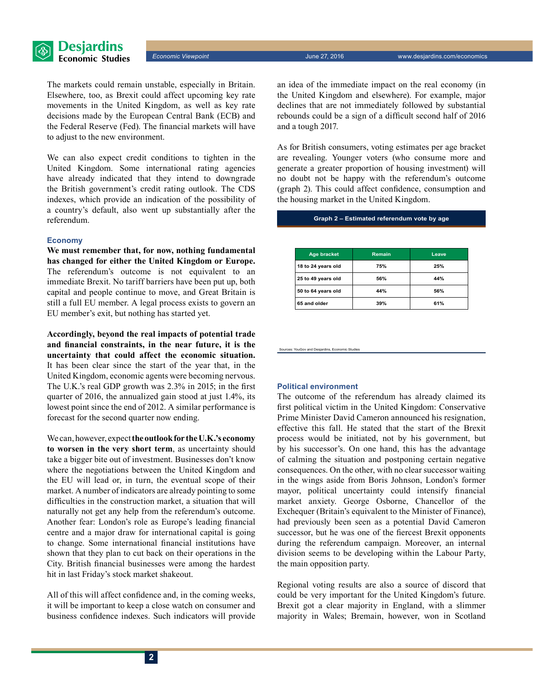

*Economic Viewpoint* June 27, 2016 www.desjardins.com/economics

The markets could remain unstable, especially in Britain. Elsewhere, too, as Brexit could affect upcoming key rate movements in the United Kingdom, as well as key rate decisions made by the European Central Bank (ECB) and the Federal Reserve (Fed). The financial markets will have to adjust to the new environment.

We can also expect credit conditions to tighten in the United Kingdom. Some international rating agencies have already indicated that they intend to downgrade the British government's credit rating outlook. The CDS indexes, which provide an indication of the possibility of a country's default, also went up substantially after the referendum.

#### **Economy**

**We must remember that, for now, nothing fundamental has changed for either the United Kingdom or Europe.** The referendum's outcome is not equivalent to an immediate Brexit. No tariff barriers have been put up, both capital and people continue to move, and Great Britain is still a full EU member. A legal process exists to govern an EU member's exit, but nothing has started yet.

**Accordingly, beyond the real impacts of potential trade and financial constraints, in the near future, it is the uncertainty that could affect the economic situation.**  It has been clear since the start of the year that, in the United Kingdom, economic agents were becoming nervous. The U.K.'s real GDP growth was 2.3% in 2015; in the first quarter of 2016, the annualized gain stood at just 1.4%, its lowest point since the end of 2012. A similar performance is forecast for the second quarter now ending.

We can, however, expect **the outlook for the U.K.'s economy to worsen in the very short term**, as uncertainty should take a bigger bite out of investment. Businesses don't know where the negotiations between the United Kingdom and the EU will lead or, in turn, the eventual scope of their market. A number of indicators are already pointing to some difficulties in the construction market, a situation that will naturally not get any help from the referendum's outcome. Another fear: London's role as Europe's leading financial centre and a major draw for international capital is going to change. Some international financial institutions have shown that they plan to cut back on their operations in the City. British financial businesses were among the hardest hit in last Friday's stock market shakeout.

All of this will affect confidence and, in the coming weeks, it will be important to keep a close watch on consumer and business confidence indexes. Such indicators will provide an idea of the immediate impact on the real economy (in the United Kingdom and elsewhere). For example, major declines that are not immediately followed by substantial rebounds could be a sign of a difficult second half of 2016 and a tough 2017.

As for British consumers, voting estimates per age bracket are revealing. Younger voters (who consume more and generate a greater proportion of housing investment) will no doubt not be happy with the referendum's outcome (graph 2). This could affect confidence, consumption and the housing market in the United Kingdom.

**Graph 2 – Estimated referendum vote by age**

| Age bracket        | Remain | Leave |
|--------------------|--------|-------|
| 18 to 24 years old | 75%    | 25%   |
| 25 to 49 years old | 56%    | 44%   |
| 50 to 64 years old | 44%    | 56%   |
| 65 and older       | 39%    | 61%   |

es: YouGov and Desjar

#### **Political environment**

The outcome of the referendum has already claimed its first political victim in the United Kingdom: Conservative Prime Minister David Cameron announced his resignation, effective this fall. He stated that the start of the Brexit process would be initiated, not by his government, but by his successor's. On one hand, this has the advantage of calming the situation and postponing certain negative consequences. On the other, with no clear successor waiting in the wings aside from Boris Johnson, London's former mayor, political uncertainty could intensify financial market anxiety. George Osborne, Chancellor of the Exchequer (Britain's equivalent to the Minister of Finance), had previously been seen as a potential David Cameron successor, but he was one of the fiercest Brexit opponents during the referendum campaign. Moreover, an internal division seems to be developing within the Labour Party, the main opposition party.

Regional voting results are also a source of discord that could be very important for the United Kingdom's future. Brexit got a clear majority in England, with a slimmer majority in Wales; Bremain, however, won in Scotland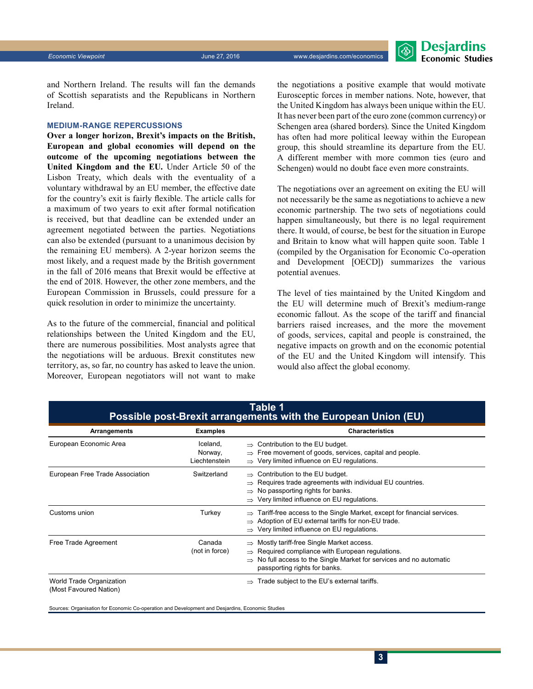

and Northern Ireland. The results will fan the demands of Scottish separatists and the Republicans in Northern Ireland.

#### **Medium-range repercussions**

**Over a longer horizon, Brexit's impacts on the British, European and global economies will depend on the outcome of the upcoming negotiations between the United Kingdom and the EU.** Under Article 50 of the Lisbon Treaty, which deals with the eventuality of a voluntary withdrawal by an EU member, the effective date for the country's exit is fairly flexible. The article calls for a maximum of two years to exit after formal notification is received, but that deadline can be extended under an agreement negotiated between the parties. Negotiations can also be extended (pursuant to a unanimous decision by the remaining EU members). A 2‑year horizon seems the most likely, and a request made by the British government in the fall of 2016 means that Brexit would be effective at the end of 2018. However, the other zone members, and the European Commission in Brussels, could pressure for a quick resolution in order to minimize the uncertainty.

As to the future of the commercial, financial and political relationships between the United Kingdom and the EU, there are numerous possibilities. Most analysts agree that the negotiations will be arduous. Brexit constitutes new territory, as, so far, no country has asked to leave the union. Moreover, European negotiators will not want to make the negotiations a positive example that would motivate Eurosceptic forces in member nations. Note, however, that the United Kingdom has always been unique within the EU. It has never been part of the euro zone (common currency) or Schengen area (shared borders). Since the United Kingdom has often had more political leeway within the European group, this should streamline its departure from the EU. A different member with more common ties (euro and Schengen) would no doubt face even more constraints.

The negotiations over an agreement on exiting the EU will not necessarily be the same as negotiations to achieve a new economic partnership. The two sets of negotiations could happen simultaneously, but there is no legal requirement there. It would, of course, be best for the situation in Europe and Britain to know what will happen quite soon. Table 1 (compiled by the Organisation for Economic Co-operation and Development [OECD]) summarizes the various potential avenues.

The level of ties maintained by the United Kingdom and the EU will determine much of Brexit's medium-range economic fallout. As the scope of the tariff and financial barriers raised increases, and the more the movement of goods, services, capital and people is constrained, the negative impacts on growth and on the economic potential of the EU and the United Kingdom will intensify. This would also affect the global economy.

| Arrangements                                       | <b>Examples</b>                      | <b>Characteristics</b>                                                                                                                                                                                                                     |
|----------------------------------------------------|--------------------------------------|--------------------------------------------------------------------------------------------------------------------------------------------------------------------------------------------------------------------------------------------|
| European Economic Area                             | Iceland,<br>Norway,<br>Liechtenstein | $\Rightarrow$ Contribution to the EU budget.<br>$\Rightarrow$ Free movement of goods, services, capital and people.<br>$\Rightarrow$ Very limited influence on EU regulations.                                                             |
| European Free Trade Association                    | Switzerland                          | $\Rightarrow$ Contribution to the EU budget.<br>Requires trade agreements with individual EU countries.<br>$\Rightarrow$ No passporting rights for banks.<br>$\Rightarrow$ Very limited influence on EU regulations.                       |
| Customs union                                      | Turkey                               | Tariff-free access to the Single Market, except for financial services.<br>$\Rightarrow$ Adoption of EU external tariffs for non-EU trade.<br>$\Rightarrow$ Very limited influence on EU regulations.                                      |
| Free Trade Agreement                               | Canada<br>(not in force)             | $\Rightarrow$ Mostly tariff-free Single Market access.<br>$\Rightarrow$ Required compliance with European regulations.<br>$\Rightarrow$ No full access to the Single Market for services and no automatic<br>passporting rights for banks. |
| World Trade Organization<br>(Most Favoured Nation) |                                      | Trade subject to the EU's external tariffs.                                                                                                                                                                                                |

## **Table 1**

Sources: Organisation for Economic Co-operation and Development and Desjardins, Economic Studies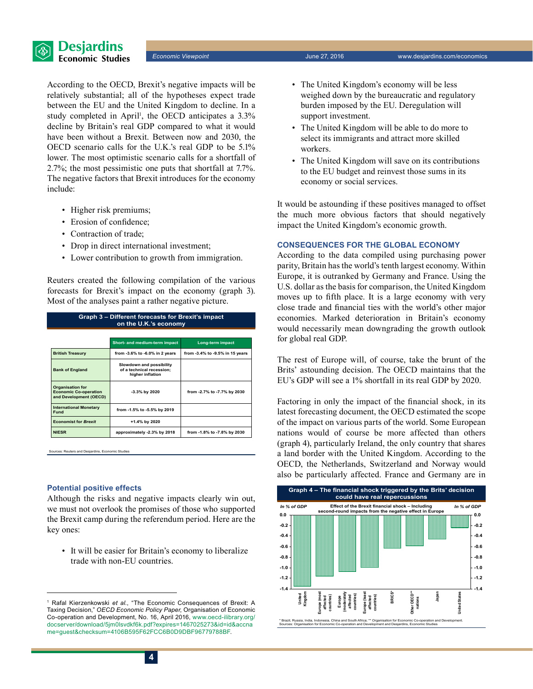

According to the OECD, Brexit's negative impacts will be relatively substantial; all of the hypotheses expect trade between the EU and the United Kingdom to decline. In a study completed in April<sup>1</sup>, the OECD anticipates a  $3.3\%$ decline by Britain's real GDP compared to what it would have been without a Brexit. Between now and 2030, the OECD scenario calls for the U.K.'s real GDP to be 5.1% lower. The most optimistic scenario calls for a shortfall of 2.7%; the most pessimistic one puts that shortfall at 7.7%. The negative factors that Brexit introduces for the economy include:

- Higher risk premiums;
- Erosion of confidence;
- Contraction of trade;
- Drop in direct international investment;
- Lower contribution to growth from immigration.

Reuters created the following compilation of the various forecasts for Brexit's impact on the economy (graph 3). Most of the analyses paint a rather negative picture.

| Graph 3 – Different forecasts for Brexit's impact<br>on the U.K.'s economy        |                                                                           |                                 |  |  |
|-----------------------------------------------------------------------------------|---------------------------------------------------------------------------|---------------------------------|--|--|
|                                                                                   | Short- and medium-term impact                                             | Long-term impact                |  |  |
| <b>British Treasury</b>                                                           | from -3.6% to -6.0% in 2 years                                            | from -3.4% to -9.5% in 15 years |  |  |
| <b>Bank of England</b>                                                            | Slowdown and possibility<br>of a technical recession:<br>higher inflation |                                 |  |  |
| <b>Organisation for</b><br><b>Economic Co-operation</b><br>and Development (OECD) | -3.3% by 2020                                                             | from -2.7% to -7.7% by 2030     |  |  |
| <b>International Monetary</b><br>Fund                                             | from -1.5% to -5.5% by 2019                                               |                                 |  |  |
| <b>Economist for Brexit</b>                                                       | +1.4% by 2020                                                             |                                 |  |  |
| <b>NIESR</b>                                                                      | approximately -2.3% by 2018                                               | from -1.8% to -7.8% by 2030     |  |  |

uters and Desjardins, Econo

#### **Potential positive effects**

Although the risks and negative impacts clearly win out, we must not overlook the promises of those who supported the Brexit camp during the referendum period. Here are the key ones:

• It will be easier for Britain's economy to liberalize trade with non-EU countries.

- The United Kingdom's economy will be less weighed down by the bureaucratic and regulatory burden imposed by the EU. Deregulation will support investment.
- The United Kingdom will be able to do more to select its immigrants and attract more skilled workers.
- The United Kingdom will save on its contributions to the EU budget and reinvest those sums in its economy or social services.

It would be astounding if these positives managed to offset the much more obvious factors that should negatively impact the United Kingdom's economic growth.

#### **Consequences for the global economy**

According to the data compiled using purchasing power parity, Britain has the world's tenth largest economy. Within Europe, it is outranked by Germany and France. Using the U.S. dollar as the basis for comparison, the United Kingdom moves up to fifth place. It is a large economy with very close trade and financial ties with the world's other major economies. Marked deterioration in Britain's economy would necessarily mean downgrading the growth outlook for global real GDP.

The rest of Europe will, of course, take the brunt of the Brits' astounding decision. The OECD maintains that the EU's GDP will see a 1% shortfall in its real GDP by 2020.

Factoring in only the impact of the financial shock, in its latest forecasting document, the OECD estimated the scope of the impact on various parts of the world. Some European nations would of course be more affected than others (graph 4), particularly Ireland, the only country that shares a land border with the United Kingdom. According to the OECD, the Netherlands, Switzerland and Norway would also be particularly affected. France and Germany are in



<sup>1</sup> Rafal Kierzenkowski *et al.*, "The Economic Consequences of Brexit: A Taxing Decision," *OECD Economic Policy Paper*, Organisation of Economic Co-operation and Development, No. 16, April 2016, [www.oecd-ilibrary.org/](http://www.oecd-ilibrary.org/docserver/download/5jm0lsvdkf6k.pdf?expires=1467025273&id=id&accname=guest&checksum=4106B595F62FCC6B0D9DBF96779788BF) [docserver/download/5jm0lsvdkf6k.pdf?expires=1467025273&id=id&accna](http://www.oecd-ilibrary.org/docserver/download/5jm0lsvdkf6k.pdf?expires=1467025273&id=id&accname=guest&checksum=4106B595F62FCC6B0D9DBF96779788BF) [me=guest&checksum=4106B595F62FCC6B0D9DBF96779788BF.](http://www.oecd-ilibrary.org/docserver/download/5jm0lsvdkf6k.pdf?expires=1467025273&id=id&accname=guest&checksum=4106B595F62FCC6B0D9DBF96779788BF)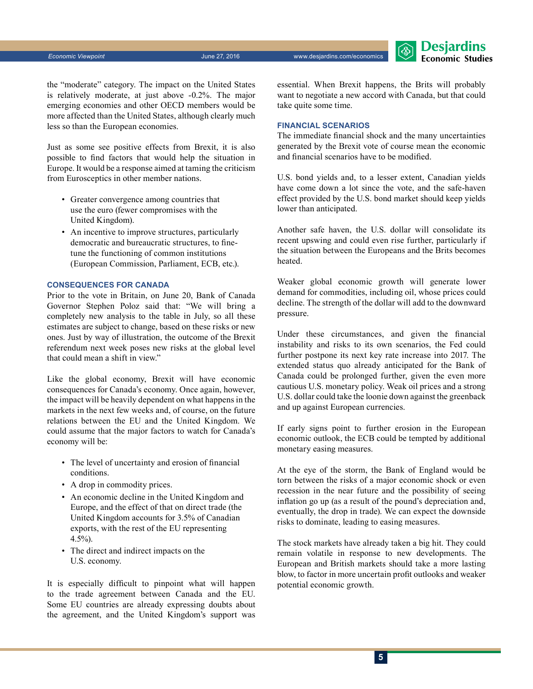**Desjardins Economic Studies** 

the "moderate" category. The impact on the United States is relatively moderate, at just above -0.2%. The major emerging economies and other OECD members would be more affected than the United States, although clearly much less so than the European economies.

Just as some see positive effects from Brexit, it is also possible to find factors that would help the situation in Europe. It would be a response aimed at taming the criticism from Eurosceptics in other member nations.

- Greater convergence among countries that use the euro (fewer compromises with the United Kingdom).
- An incentive to improve structures, particularly democratic and bureaucratic structures, to finetune the functioning of common institutions (European Commission, Parliament, ECB, etc.).

#### **Consequences for Canada**

Prior to the vote in Britain, on June 20, Bank of Canada Governor Stephen Poloz said that: "We will bring a completely new analysis to the table in July, so all these estimates are subject to change, based on these risks or new ones. Just by way of illustration, the outcome of the Brexit referendum next week poses new risks at the global level that could mean a shift in view."

Like the global economy, Brexit will have economic consequences for Canada's economy. Once again, however, the impact will be heavily dependent on what happens in the markets in the next few weeks and, of course, on the future relations between the EU and the United Kingdom. We could assume that the major factors to watch for Canada's economy will be:

- The level of uncertainty and erosion of financial conditions.
- A drop in commodity prices.
- An economic decline in the United Kingdom and Europe, and the effect of that on direct trade (the United Kingdom accounts for 3.5% of Canadian exports, with the rest of the EU representing 4.5%).
- The direct and indirect impacts on the U.S. economy.

It is especially difficult to pinpoint what will happen to the trade agreement between Canada and the EU. Some EU countries are already expressing doubts about the agreement, and the United Kingdom's support was

essential. When Brexit happens, the Brits will probably want to negotiate a new accord with Canada, but that could take quite some time.

#### **Financial scenarios**

The immediate financial shock and the many uncertainties generated by the Brexit vote of course mean the economic and financial scenarios have to be modified.

U.S. bond yields and, to a lesser extent, Canadian yields have come down a lot since the vote, and the safe-haven effect provided by the U.S. bond market should keep yields lower than anticipated.

Another safe haven, the U.S. dollar will consolidate its recent upswing and could even rise further, particularly if the situation between the Europeans and the Brits becomes heated.

Weaker global economic growth will generate lower demand for commodities, including oil, whose prices could decline. The strength of the dollar will add to the downward pressure.

Under these circumstances, and given the financial instability and risks to its own scenarios, the Fed could further postpone its next key rate increase into 2017. The extended status quo already anticipated for the Bank of Canada could be prolonged further, given the even more cautious U.S. monetary policy. Weak oil prices and a strong U.S. dollar could take the loonie down against the greenback and up against European currencies.

If early signs point to further erosion in the European economic outlook, the ECB could be tempted by additional monetary easing measures.

At the eye of the storm, the Bank of England would be torn between the risks of a major economic shock or even recession in the near future and the possibility of seeing inflation go up (as a result of the pound's depreciation and, eventually, the drop in trade). We can expect the downside risks to dominate, leading to easing measures.

The stock markets have already taken a big hit. They could remain volatile in response to new developments. The European and British markets should take a more lasting blow, to factor in more uncertain profit outlooks and weaker potential economic growth.